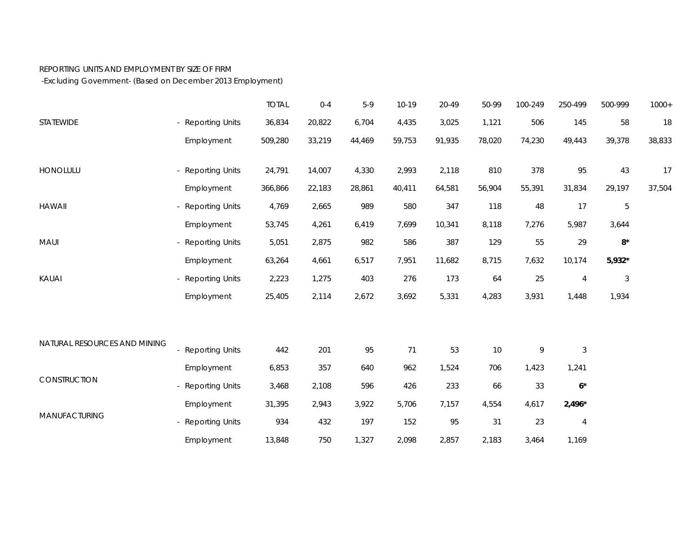## REPORTING UNITS AND EMPLOYMENT BY SIZE OF FIRM

-Excluding Government- (Based on December 2013 Employment)

|                              |                   | <b>TOTAL</b> | $0 - 4$ | $5-9$  | $10-19$ | 20-49  | 50-99  | 100-249 | 250-499        | 500-999     | $1000+$ |
|------------------------------|-------------------|--------------|---------|--------|---------|--------|--------|---------|----------------|-------------|---------|
| STATEWIDE                    | - Reporting Units | 36,834       | 20,822  | 6,704  | 4,435   | 3,025  | 1,121  | 506     | 145            | 58          | 18      |
|                              | Employment        | 509,280      | 33,219  | 44,469 | 59,753  | 91,935 | 78,020 | 74,230  | 49,443         | 39,378      | 38,833  |
| HONOLULU                     | - Reporting Units | 24,791       | 14,007  | 4,330  | 2,993   | 2,118  | 810    | 378     | 95             | 43          | 17      |
|                              | Employment        | 366,866      | 22,183  | 28,861 | 40,411  | 64,581 | 56,904 | 55,391  | 31,834         | 29,197      | 37,504  |
| <b>HAWAII</b>                | - Reporting Units | 4,769        | 2,665   | 989    | 580     | 347    | 118    | 48      | 17             | $\mathbf 5$ |         |
|                              | Employment        | 53,745       | 4,261   | 6,419  | 7,699   | 10,341 | 8,118  | 7,276   | 5,987          | 3,644       |         |
| MAUI                         | - Reporting Units | 5,051        | 2,875   | 982    | 586     | 387    | 129    | 55      | 29             | $8^{\star}$ |         |
|                              | Employment        | 63,264       | 4,661   | 6,517  | 7,951   | 11,682 | 8,715  | 7,632   | 10,174         | $5,932*$    |         |
| KAUAI                        | - Reporting Units | 2,223        | 1,275   | 403    | 276     | 173    | 64     | 25      | 4              | $\sqrt{3}$  |         |
|                              | Employment        | 25,405       | 2,114   | 2,672  | 3,692   | 5,331  | 4,283  | 3,931   | 1,448          | 1,934       |         |
| NATURAL RESOURCES AND MINING |                   |              |         |        |         |        |        |         |                |             |         |
|                              | - Reporting Units | 442          | 201     | 95     | 71      | 53     | 10     | 9       | $\sqrt{3}$     |             |         |
| CONSTRUCTION                 | Employment        | 6,853        | 357     | 640    | 962     | 1,524  | 706    | 1,423   | 1,241          |             |         |
|                              | - Reporting Units | 3,468        | 2,108   | 596    | 426     | 233    | 66     | 33      | $6*$           |             |         |
| MANUFACTURING                | Employment        | 31,395       | 2,943   | 3,922  | 5,706   | 7,157  | 4,554  | 4,617   | $2,496*$       |             |         |
|                              | - Reporting Units | 934          | 432     | 197    | 152     | 95     | 31     | 23      | $\overline{4}$ |             |         |
|                              | Employment        | 13,848       | 750     | 1,327  | 2,098   | 2,857  | 2,183  | 3,464   | 1,169          |             |         |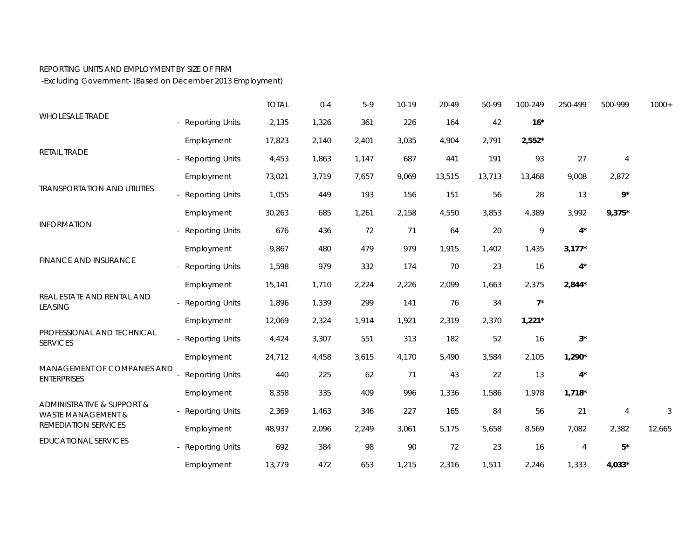## REPORTING UNITS AND EMPLOYMENT BY SIZE OF FIRM

-Excluding Government- (Based on December 2013 Employment)

| <b>WHOLESALE TRADE</b>                                                                             |                        | <b>TOTAL</b> | $0 - 4$ | $5-9$ | $10-19$ | 20-49  | 50-99  | 100-249      | 250-499  | 500-999        | $1000+$ |
|----------------------------------------------------------------------------------------------------|------------------------|--------------|---------|-------|---------|--------|--------|--------------|----------|----------------|---------|
|                                                                                                    | <b>Reporting Units</b> | 2,135        | 1,326   | 361   | 226     | 164    | 42     | $16*$        |          |                |         |
| RETAIL TRADE                                                                                       | Employment             | 17,823       | 2,140   | 2,401 | 3,035   | 4,904  | 2,791  | $2,552*$     |          |                |         |
|                                                                                                    | <b>Reporting Units</b> | 4,453        | 1,863   | 1,147 | 687     | 441    | 191    | 93           | 27       | $\overline{4}$ |         |
| <b>TRANSPORTATION AND UTILITIES</b>                                                                | Employment             | 73,021       | 3,719   | 7,657 | 9,069   | 13,515 | 13,713 | 13,468       | 9,008    | 2,872          |         |
|                                                                                                    | <b>Reporting Units</b> | 1,055        | 449     | 193   | 156     | 151    | 56     | 28           | 13       | $9*$           |         |
| <b>INFORMATION</b>                                                                                 | Employment             | 30,263       | 685     | 1,261 | 2,158   | 4,550  | 3,853  | 4,389        | 3,992    | $9,375*$       |         |
|                                                                                                    | <b>Reporting Units</b> | 676          | 436     | 72    | 71      | 64     | 20     | $\mathsf{Q}$ | $4^*$    |                |         |
| FINANCE AND INSURANCE                                                                              | Employment             | 9,867        | 480     | 479   | 979     | 1,915  | 1,402  | 1,435        | $3,177*$ |                |         |
|                                                                                                    | <b>Reporting Units</b> | 1,598        | 979     | 332   | 174     | 70     | 23     | 16           | $4^*$    |                |         |
| REAL ESTATE AND RENTAL AND<br><b>LEASING</b>                                                       | Employment             | 15,141       | 1,710   | 2,224 | 2,226   | 2,099  | 1,663  | 2,375        | $2,844*$ |                |         |
|                                                                                                    | <b>Reporting Units</b> | 1,896        | 1,339   | 299   | 141     | 76     | 34     | $7^*$        |          |                |         |
|                                                                                                    | Employment             | 12,069       | 2,324   | 1,914 | 1,921   | 2,319  | 2,370  | $1,221*$     |          |                |         |
| PROFESSIONAL AND TECHNICAL<br><b>SERVICES</b><br>MANAGEMENT OF COMPANIES AND<br><b>ENTERPRISES</b> | <b>Reporting Units</b> | 4,424        | 3,307   | 551   | 313     | 182    | 52     | 16           | $3^*$    |                |         |
|                                                                                                    | Employment             | 24,712       | 4,458   | 3,615 | 4,170   | 5,490  | 3,584  | 2,105        | $1,290*$ |                |         |
|                                                                                                    | <b>Reporting Units</b> | 440          | 225     | 62    | 71      | 43     | 22     | 13           | $4^*$    |                |         |
|                                                                                                    | Employment             | 8,358        | 335     | 409   | 996     | 1,336  | 1,586  | 1,978        | $1,718*$ |                |         |
| ADMINISTRATIVE & SUPPORT &<br><b>WASTE MANAGEMENT &amp;</b><br>REMEDIATION SERVICES                | <b>Reporting Units</b> | 2,369        | 1,463   | 346   | 227     | 165    | 84     | 56           | 21       | $\overline{4}$ | 3       |
|                                                                                                    | Employment             | 48,937       | 2,096   | 2,249 | 3,061   | 5,175  | 5,658  | 8,569        | 7,082    | 2,382          | 12,665  |
| <b>EDUCATIONAL SERVICES</b>                                                                        | <b>Reporting Units</b> | 692          | 384     | 98    | 90      | 72     | 23     | 16           | 4        | $5*$           |         |
|                                                                                                    | Employment             | 13,779       | 472     | 653   | 1,215   | 2,316  | 1,511  | 2,246        | 1,333    | 4,033*         |         |